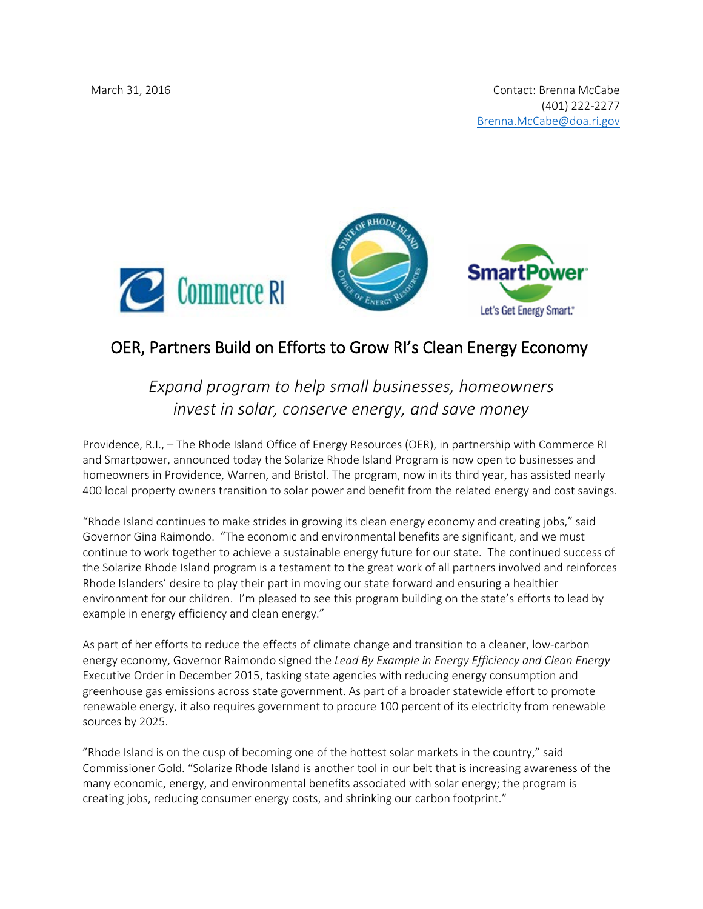



## OER, Partners Build on Efforts to Grow RI's Clean Energy Economy

*Expand program to help small businesses, homeowners invest in solar, conserve energy, and save money*

Providence, R.I., – The Rhode Island Office of Energy Resources (OER), in partnership with Commerce RI and Smartpower, announced today the Solarize Rhode Island Program is now open to businesses and homeowners in Providence, Warren, and Bristol. The program, now in its third year, has assisted nearly 400 local property owners transition to solar power and benefit from the related energy and cost savings.

"Rhode Island continues to make strides in growing its clean energy economy and creating jobs," said Governor Gina Raimondo. "The economic and environmental benefits are significant, and we must continue to work together to achieve a sustainable energy future for our state. The continued success of the Solarize Rhode Island program is a testament to the great work of all partners involved and reinforces Rhode Islanders' desire to play their part in moving our state forward and ensuring a healthier environment for our children. I'm pleased to see this program building on the state's efforts to lead by example in energy efficiency and clean energy."

As part of her efforts to reduce the effects of climate change and transition to a cleaner, low-carbon energy economy, Governor Raimondo signed the *Lead By Example in Energy Efficiency and Clean Energy* Executive Order in December 2015, tasking state agencies with reducing energy consumption and greenhouse gas emissions across state government. As part of a broader statewide effort to promote renewable energy, it also requires government to procure 100 percent of its electricity from renewable sources by 2025.

"Rhode Island is on the cusp of becoming one of the hottest solar markets in the country," said Commissioner Gold. "Solarize Rhode Island is another tool in our belt that is increasing awareness of the many economic, energy, and environmental benefits associated with solar energy; the program is creating jobs, reducing consumer energy costs, and shrinking our carbon footprint."